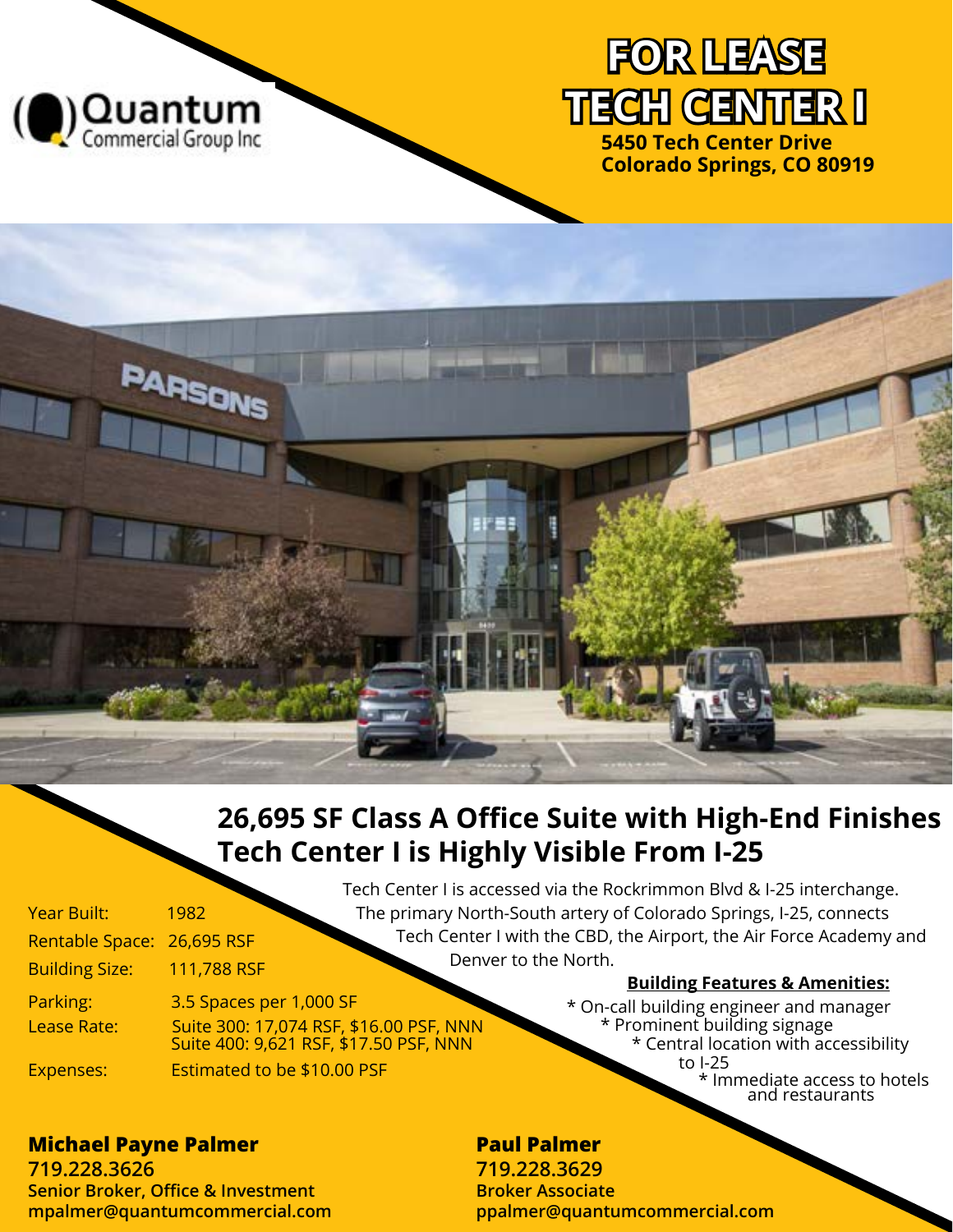





# **26,695 SF Class A Office Suite with High-End Finishes Tech Center I is Highly Visible From I-25**

Year Built: 1982 Rentable Space: 26,695 RSF Building Size: 111,788 RSF Parking: 3.5 Spaces per 1,000 SF

Tech Center I is accessed via the Rockrimmon Blvd & I-25 interchange. The primary North-South artery of Colorado Springs, I-25, connects Tech Center I with the CBD, the Airport, the Air Force Academy and Denver to the North.

#### **Building Features & Amenities:**

3.5 Spaces per 1,000 SF <br>Suite 300: 17,074 RSF, \$16.00 PSF, NNN \* \* Prominent building signage Lease Rate: Suite 300: 17,074 RSF, \$16.00 PSF, NNN Suite 400: 9,621 RSF, \$17.50 PSF, NNN Expenses: Estimated to be \$10.00 PSF

 \* Prominent building signage \* Central location with accessibility to I-25 \* Immediate access to hotels

and restaurants

### **Michael Payne Palmer**

**719.228.3626 Senior Broker, Office & Investment mpalmer@quantumcommercial.com**

### **Paul Palmer**

**719.228.3629 Broker Associate ppalmer@quantumcommercial.com**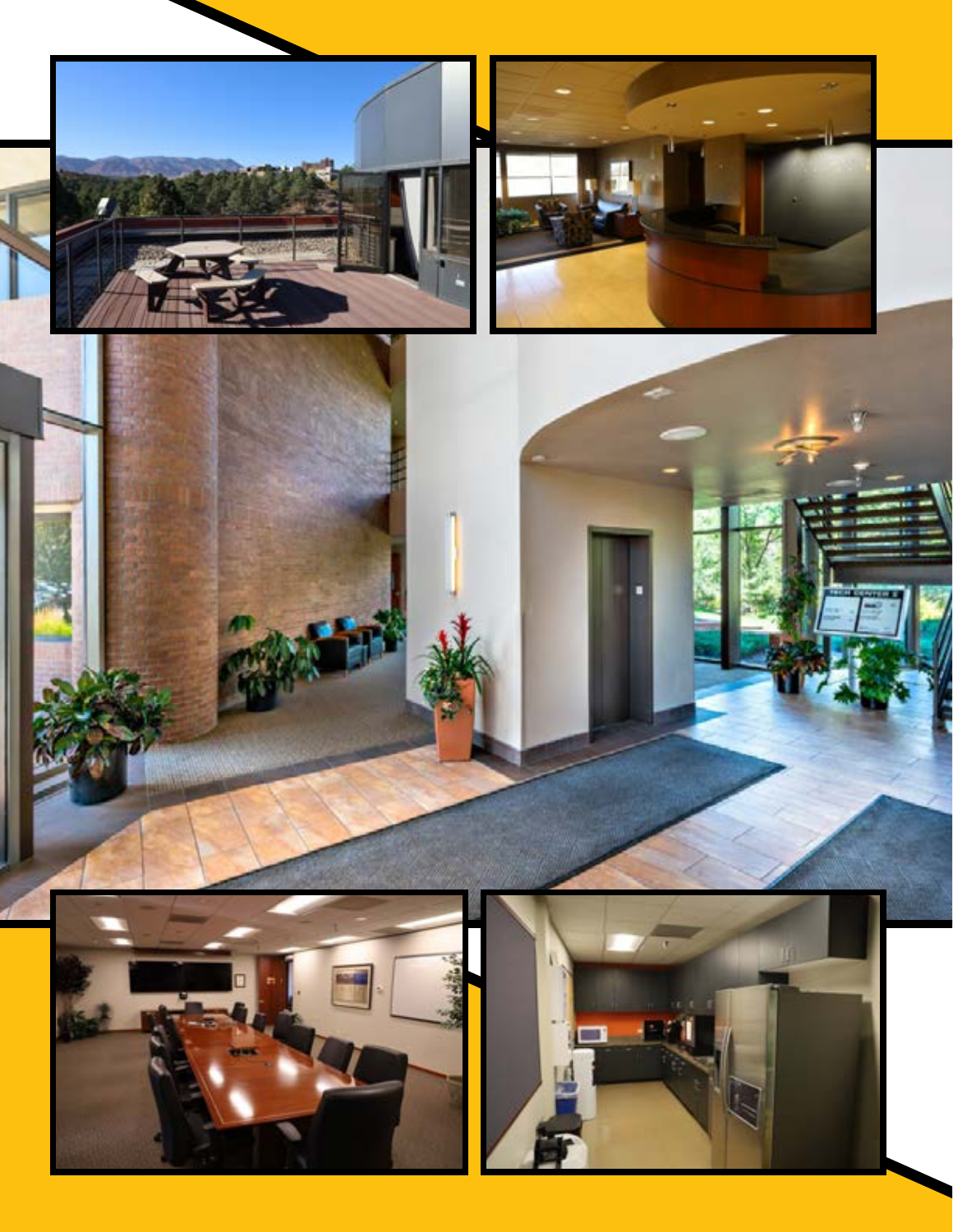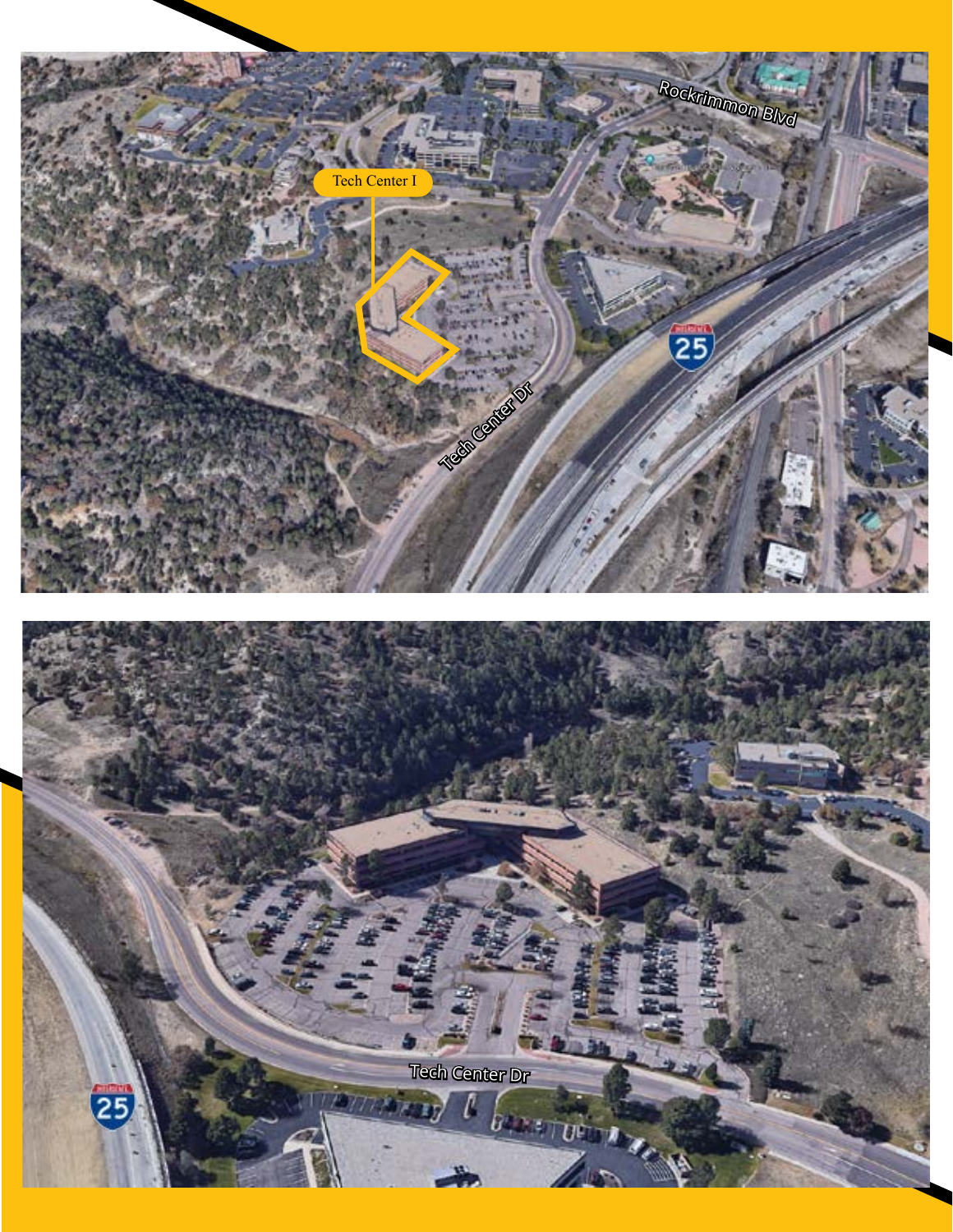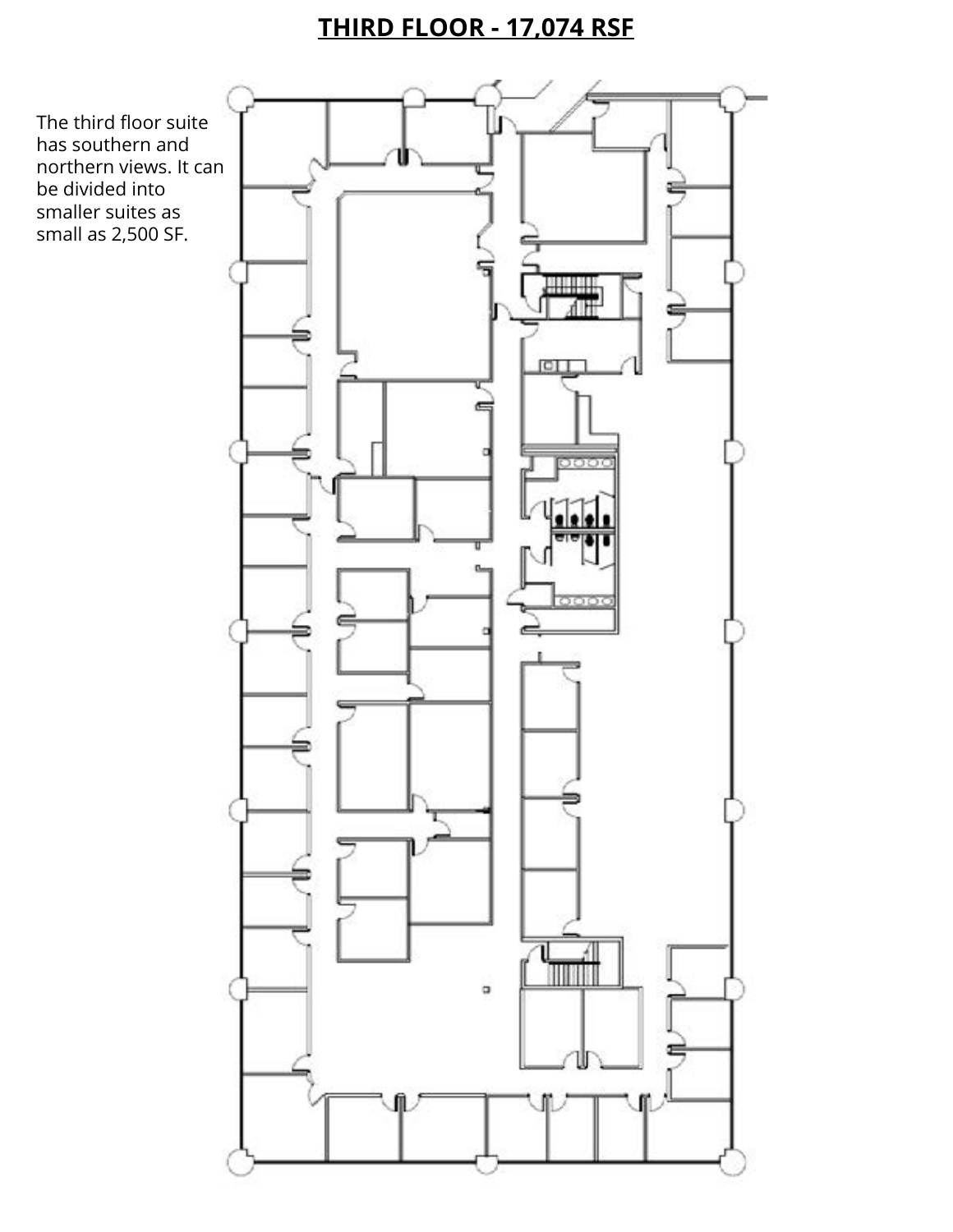### **THIRD FLOOR - 17,074 RSF**